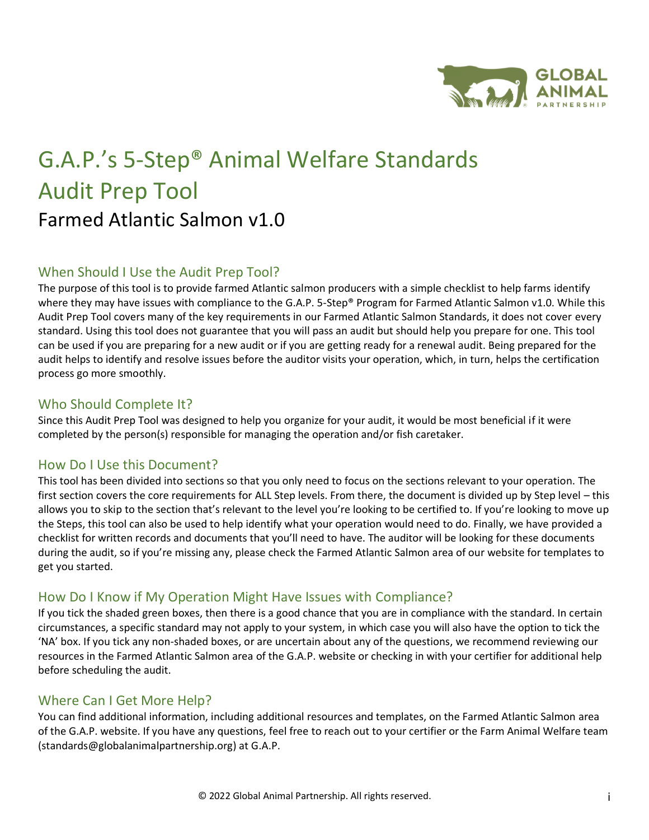

# G.A.P.'s 5-Step® Animal Welfare Standards Audit Prep Tool Farmed Atlantic Salmon v1.0

### When Should I Use the Audit Prep Tool?

The purpose of this tool is to provide farmed Atlantic salmon producers with a simple checklist to help farms identify where they may have issues with compliance to the G.A.P. 5-Step® Program for Farmed Atlantic Salmon v1.0. While this Audit Prep Tool covers many of the key requirements in our Farmed Atlantic Salmon Standards, it does not cover every standard. Using this tool does not guarantee that you will pass an audit but should help you prepare for one. This tool can be used if you are preparing for a new audit or if you are getting ready for a renewal audit. Being prepared for the audit helps to identify and resolve issues before the auditor visits your operation, which, in turn, helps the certification process go more smoothly.

#### Who Should Complete It?

Since this Audit Prep Tool was designed to help you organize for your audit, it would be most beneficial if it were completed by the person(s) responsible for managing the operation and/or fish caretaker.

#### How Do I Use this Document?

This tool has been divided into sections so that you only need to focus on the sections relevant to your operation. The first section covers the core requirements for ALL Step levels. From there, the document is divided up by Step level – this allows you to skip to the section that's relevant to the level you're looking to be certified to. If you're looking to move up the Steps, this tool can also be used to help identify what your operation would need to do. Finally, we have provided a checklist for written records and documents that you'll need to have. The auditor will be looking for these documents during the audit, so if you're missing any, please check the Farmed Atlantic Salmon area of our website for templates to get you started.

#### How Do I Know if My Operation Might Have Issues with Compliance?

If you tick the shaded green boxes, then there is a good chance that you are in compliance with the standard. In certain circumstances, a specific standard may not apply to your system, in which case you will also have the option to tick the 'NA' box. If you tick any non-shaded boxes, or are uncertain about any of the questions, we recommend reviewing our resources in the Farmed Atlantic Salmon area of the G.A.P. website or checking in with your certifier for additional help before scheduling the audit.

#### Where Can I Get More Help?

You can find additional information, including additional resources and templates, on the Farmed Atlantic Salmon area of the G.A.P. website. If you have any questions, feel free to reach out to your certifier or the Farm Animal Welfare team (standards@globalanimalpartnership.org) at G.A.P.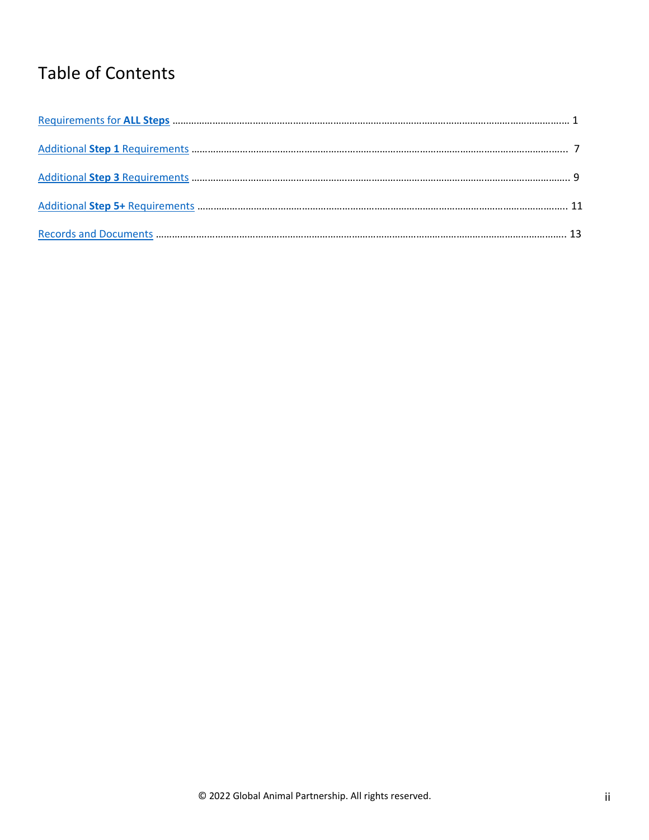## Table of Contents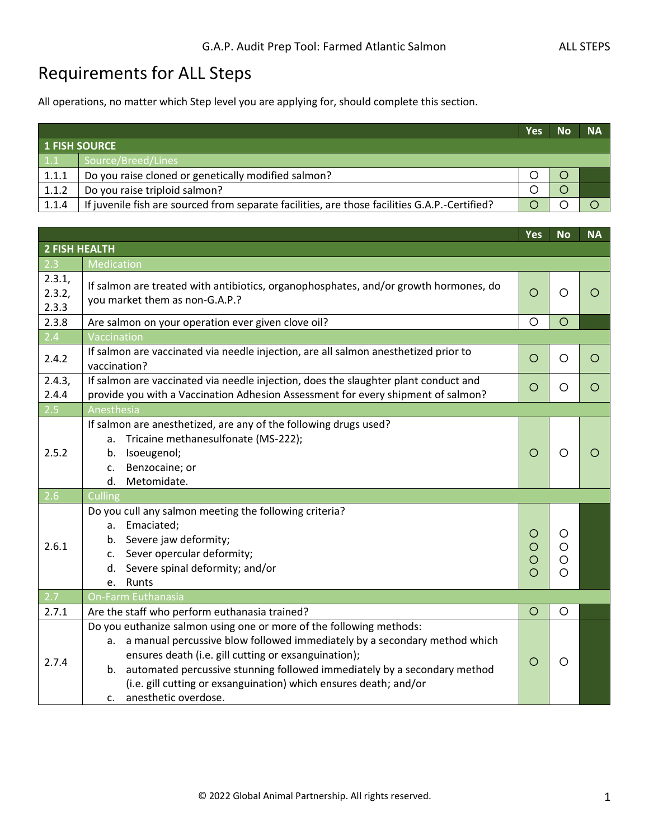### <span id="page-2-0"></span>Requirements for ALL Steps

All operations, no matter which Step level you are applying for, should complete this section.

|       |                                                                                               | Yes | <b>No</b> | <b>NA</b> |
|-------|-----------------------------------------------------------------------------------------------|-----|-----------|-----------|
|       | <b>1 FISH SOURCE</b>                                                                          |     |           |           |
| 1.1   | Source/Breed/Lines                                                                            |     |           |           |
| 1.1.1 | Do you raise cloned or genetically modified salmon?                                           |     |           |           |
| 1.1.2 | Do you raise triploid salmon?                                                                 |     |           |           |
| 1.1.4 | If juvenile fish are sourced from separate facilities, are those facilities G.A.P.-Certified? |     |           |           |

|                                                                                                                                                                                                                                                                                                                                                                                                                 | Yes                    | <b>No</b>                          | <b>NA</b> |
|-----------------------------------------------------------------------------------------------------------------------------------------------------------------------------------------------------------------------------------------------------------------------------------------------------------------------------------------------------------------------------------------------------------------|------------------------|------------------------------------|-----------|
| <b>2 FISH HEALTH</b>                                                                                                                                                                                                                                                                                                                                                                                            |                        |                                    |           |
| Medication                                                                                                                                                                                                                                                                                                                                                                                                      |                        |                                    |           |
| If salmon are treated with antibiotics, organophosphates, and/or growth hormones, do<br>you market them as non-G.A.P.?                                                                                                                                                                                                                                                                                          | O                      | O                                  | O         |
| Are salmon on your operation ever given clove oil?                                                                                                                                                                                                                                                                                                                                                              | O                      | $\circ$                            |           |
| Vaccination                                                                                                                                                                                                                                                                                                                                                                                                     |                        |                                    |           |
| If salmon are vaccinated via needle injection, are all salmon anesthetized prior to<br>vaccination?                                                                                                                                                                                                                                                                                                             | O                      | O                                  | O         |
| If salmon are vaccinated via needle injection, does the slaughter plant conduct and<br>provide you with a Vaccination Adhesion Assessment for every shipment of salmon?                                                                                                                                                                                                                                         | O                      | O                                  | O         |
| Anesthesia                                                                                                                                                                                                                                                                                                                                                                                                      |                        |                                    |           |
| If salmon are anesthetized, are any of the following drugs used?<br>a. Tricaine methanesulfonate (MS-222);<br>b. Isoeugenol;<br>Benzocaine; or<br>$\mathsf{C}$ .<br>d. Metomidate.                                                                                                                                                                                                                              | $\circ$                | $\circ$                            | ◯         |
|                                                                                                                                                                                                                                                                                                                                                                                                                 |                        |                                    |           |
| Do you cull any salmon meeting the following criteria?<br>Emaciated;<br>а.<br>b. Severe jaw deformity;<br>c. Sever opercular deformity;<br>d. Severe spinal deformity; and/or<br>e. Runts                                                                                                                                                                                                                       | O<br>O<br>$\circ$<br>Ω | O<br>$\circ$<br>$\circ$<br>$\circ$ |           |
| On-Farm Euthanasia                                                                                                                                                                                                                                                                                                                                                                                              |                        |                                    |           |
| Are the staff who perform euthanasia trained?                                                                                                                                                                                                                                                                                                                                                                   | O                      | O                                  |           |
| Do you euthanize salmon using one or more of the following methods:<br>a manual percussive blow followed immediately by a secondary method which<br>a.<br>ensures death (i.e. gill cutting or exsanguination);<br>automated percussive stunning followed immediately by a secondary method<br>b.<br>(i.e. gill cutting or exsanguination) which ensures death; and/or<br>anesthetic overdose.<br>$\mathsf{C}$ . | O                      | O                                  |           |
|                                                                                                                                                                                                                                                                                                                                                                                                                 | Culling                |                                    |           |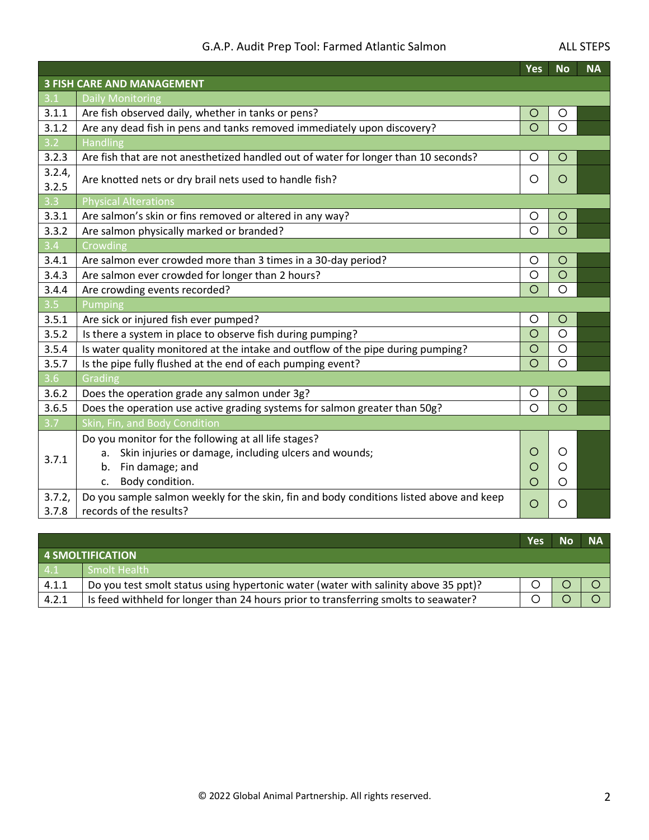#### G.A.P. Audit Prep Tool: Farmed Atlantic Salmon Manusculph ALL STEPS

|                                                                                                                    | Yes                                                                        | <b>No</b> | <b>NA</b> |
|--------------------------------------------------------------------------------------------------------------------|----------------------------------------------------------------------------|-----------|-----------|
| <b>3 FISH CARE AND MANAGEMENT</b>                                                                                  |                                                                            |           |           |
| <b>Daily Monitoring</b>                                                                                            |                                                                            |           |           |
| Are fish observed daily, whether in tanks or pens?                                                                 | O                                                                          | O         |           |
| Are any dead fish in pens and tanks removed immediately upon discovery?                                            | $\circ$                                                                    | $\circ$   |           |
| Handling                                                                                                           |                                                                            |           |           |
| Are fish that are not anesthetized handled out of water for longer than 10 seconds?                                | O                                                                          | $\circ$   |           |
| Are knotted nets or dry brail nets used to handle fish?                                                            | $\circ$                                                                    | $\circ$   |           |
| <b>Physical Alterations</b>                                                                                        |                                                                            |           |           |
| Are salmon's skin or fins removed or altered in any way?                                                           | O                                                                          | $\circ$   |           |
| Are salmon physically marked or branded?                                                                           | $\circ$                                                                    | $\circ$   |           |
| Crowding                                                                                                           |                                                                            |           |           |
| Are salmon ever crowded more than 3 times in a 30-day period?                                                      | O                                                                          | O         |           |
| Are salmon ever crowded for longer than 2 hours?                                                                   | $\circ$                                                                    | $\circ$   |           |
| Are crowding events recorded?                                                                                      | $\circ$                                                                    | $\circ$   |           |
| Pumping                                                                                                            |                                                                            |           |           |
| Are sick or injured fish ever pumped?                                                                              | O                                                                          | $\circ$   |           |
| Is there a system in place to observe fish during pumping?                                                         |                                                                            |           |           |
| Is water quality monitored at the intake and outflow of the pipe during pumping?                                   | $\overline{O}$                                                             | $\circ$   |           |
| Is the pipe fully flushed at the end of each pumping event?                                                        | $\circ$                                                                    | $\circ$   |           |
| Grading                                                                                                            |                                                                            |           |           |
| Does the operation grade any salmon under 3g?                                                                      | O                                                                          | O         |           |
|                                                                                                                    | $\circ$                                                                    | $\circ$   |           |
| Skin, Fin, and Body Condition                                                                                      |                                                                            |           |           |
| Do you monitor for the following at all life stages?                                                               |                                                                            |           |           |
| Skin injuries or damage, including ulcers and wounds;<br>а.                                                        | O                                                                          | O         |           |
| b. Fin damage; and                                                                                                 | O                                                                          | O         |           |
| Body condition.<br>c.                                                                                              | $\circ$                                                                    | O         |           |
| Do you sample salmon weekly for the skin, fin and body conditions listed above and keep<br>records of the results? | $\circ$                                                                    | O         |           |
|                                                                                                                    | Does the operation use active grading systems for salmon greater than 50g? | $\circ$   | $\circ$   |

|       |                                                                                     | Yes | <b>No</b> | <b>NA</b> |
|-------|-------------------------------------------------------------------------------------|-----|-----------|-----------|
|       | <b>4 SMOLTIFICATION</b>                                                             |     |           |           |
| 4.1   | Smolt Health                                                                        |     |           |           |
| 4.1.1 | Do you test smolt status using hypertonic water (water with salinity above 35 ppt)? |     |           |           |
| 4.2.1 | Is feed withheld for longer than 24 hours prior to transferring smolts to seawater? |     |           |           |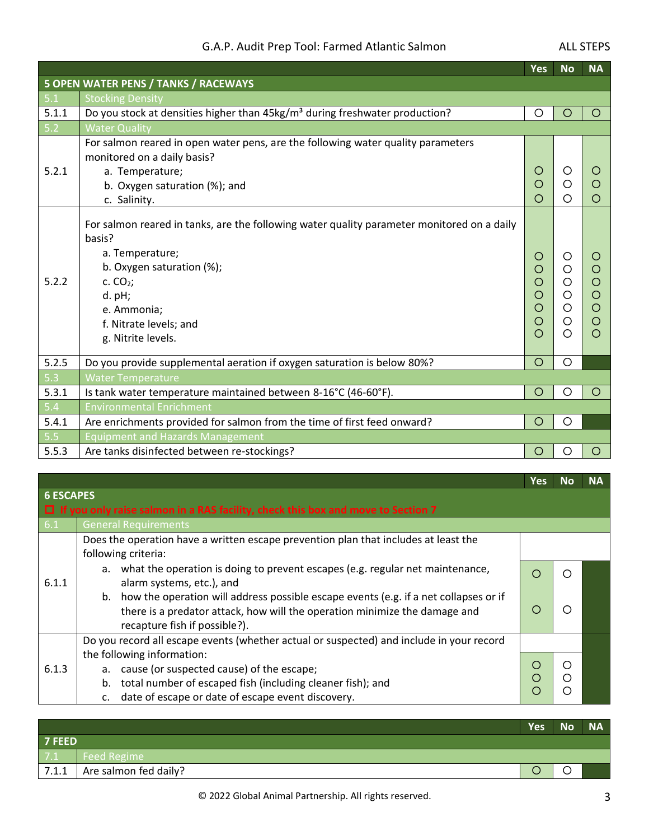### G.A.P. Audit Prep Tool: Farmed Atlantic Salmon Manusculinus ALL STEPS

|       |                                                                                                                                                                                                                                               | <b>Yes</b>                            | <b>No</b>                       | <b>NA</b>             |
|-------|-----------------------------------------------------------------------------------------------------------------------------------------------------------------------------------------------------------------------------------------------|---------------------------------------|---------------------------------|-----------------------|
|       | <b>5 OPEN WATER PENS / TANKS / RACEWAYS</b>                                                                                                                                                                                                   |                                       |                                 |                       |
| 5.1   | <b>Stocking Density</b>                                                                                                                                                                                                                       |                                       |                                 |                       |
| 5.1.1 | Do you stock at densities higher than 45kg/m <sup>3</sup> during freshwater production?                                                                                                                                                       | O                                     | Ω                               | ◯                     |
| $5.2$ | <b>Water Quality</b>                                                                                                                                                                                                                          |                                       |                                 |                       |
| 5.2.1 | For salmon reared in open water pens, are the following water quality parameters<br>monitored on a daily basis?<br>a. Temperature;<br>b. Oxygen saturation (%); and<br>c. Salinity.                                                           | O<br>O                                | ( )<br>Ο                        |                       |
| 5.2.2 | For salmon reared in tanks, are the following water quality parameter monitored on a daily<br>basis?<br>a. Temperature;<br>b. Oxygen saturation (%);<br>c. $CO2$ ;<br>$d.$ pH;<br>e. Ammonia;<br>f. Nitrate levels; and<br>g. Nitrite levels. | O<br>O<br>O<br>$\circ$<br>Ō<br>O<br>∩ | Ő<br>O<br>O<br>O<br>O<br>O<br>Ω | O<br>O<br>O<br>O<br>◯ |
| 5.2.5 | Do you provide supplemental aeration if oxygen saturation is below 80%?                                                                                                                                                                       | $\circ$                               | O                               |                       |
| 5.3   | <b>Water Temperature</b>                                                                                                                                                                                                                      |                                       |                                 |                       |
| 5.3.1 | Is tank water temperature maintained between 8-16°C (46-60°F).                                                                                                                                                                                | $\circ$                               | O                               | $\circ$               |
| 5.4   | <b>Environmental Enrichment</b>                                                                                                                                                                                                               |                                       |                                 |                       |
| 5.4.1 | Are enrichments provided for salmon from the time of first feed onward?                                                                                                                                                                       | O                                     | O                               |                       |
| 5.5   | <b>Equipment and Hazards Management</b>                                                                                                                                                                                                       |                                       |                                 |                       |
| 5.5.3 | Are tanks disinfected between re-stockings?                                                                                                                                                                                                   | O                                     | O                               | O                     |

|                  |                                                                                                               | <b>Yes</b> | No | <b>NA</b> |
|------------------|---------------------------------------------------------------------------------------------------------------|------------|----|-----------|
| <b>6 ESCAPES</b> |                                                                                                               |            |    |           |
|                  | $\Box$ If you only raise salmon in a RAS facility, check this box and move to Section 7                       |            |    |           |
| 6.1              | <b>General Requirements</b>                                                                                   |            |    |           |
|                  | Does the operation have a written escape prevention plan that includes at least the                           |            |    |           |
|                  | following criteria:                                                                                           |            |    |           |
| 6.1.1            | a. what the operation is doing to prevent escapes (e.g. regular net maintenance,<br>alarm systems, etc.), and |            |    |           |
|                  | b. how the operation will address possible escape events (e.g. if a net collapses or if                       |            |    |           |
|                  | there is a predator attack, how will the operation minimize the damage and                                    |            |    |           |
|                  | recapture fish if possible?).                                                                                 |            |    |           |
|                  | Do you record all escape events (whether actual or suspected) and include in your record                      |            |    |           |
|                  | the following information:                                                                                    |            |    |           |
| 6.1.3            | a. cause (or suspected cause) of the escape;                                                                  | O          |    |           |
|                  | total number of escaped fish (including cleaner fish); and<br>b.                                              | ∩          |    |           |
|                  | date of escape or date of escape event discovery.<br>C.                                                       |            |    |           |

|        |                       | <b>Yes</b> | <b>No</b> | <b>NA</b> |
|--------|-----------------------|------------|-----------|-----------|
| 7 FEED |                       |            |           |           |
| 7.1    | Feed Regime           |            |           |           |
| 7.1.1  | Are salmon fed daily? |            |           |           |
|        |                       |            |           |           |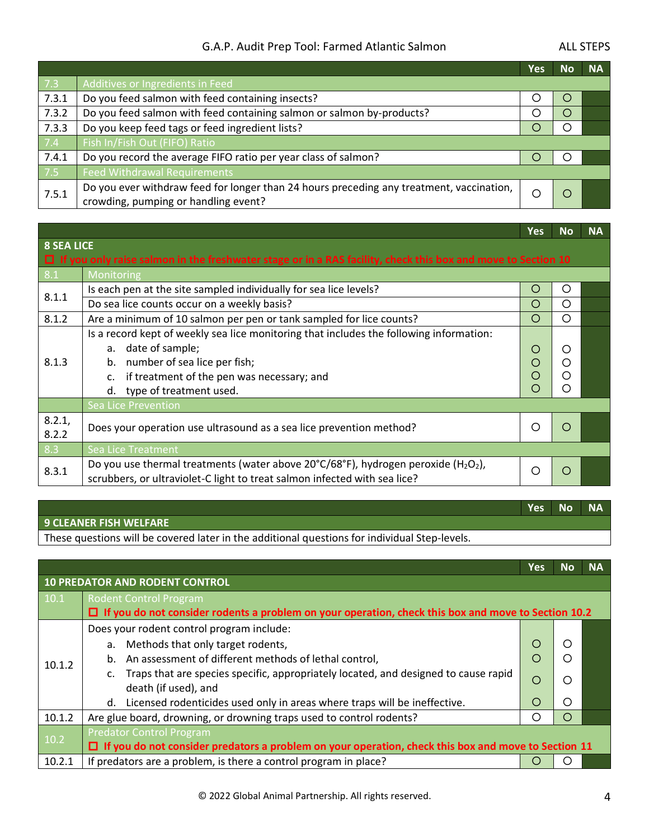### G.A.P. Audit Prep Tool: Farmed Atlantic Salmon Manusculinus ALL STEPS

|       |                                                                                                                                  | Yes | Νo | <b>NA</b> |
|-------|----------------------------------------------------------------------------------------------------------------------------------|-----|----|-----------|
| 7.3   | Additives or Ingredients in Feed                                                                                                 |     |    |           |
| 7.3.1 | Do you feed salmon with feed containing insects?                                                                                 |     |    |           |
| 7.3.2 | Do you feed salmon with feed containing salmon or salmon by-products?                                                            |     |    |           |
| 7.3.3 | Do you keep feed tags or feed ingredient lists?                                                                                  |     |    |           |
| 7.4   | Fish In/Fish Out (FIFO) Ratio                                                                                                    |     |    |           |
| 7.4.1 | Do you record the average FIFO ratio per year class of salmon?                                                                   |     |    |           |
| 7.5   | <b>Feed Withdrawal Requirements</b>                                                                                              |     |    |           |
| 7.5.1 | Do you ever withdraw feed for longer than 24 hours preceding any treatment, vaccination,<br>crowding, pumping or handling event? |     |    |           |

|                   |                                                                                                                     | <b>Yes</b> | <b>No</b> | <b>NA</b> |
|-------------------|---------------------------------------------------------------------------------------------------------------------|------------|-----------|-----------|
| <b>8 SEA LICE</b> |                                                                                                                     |            |           |           |
|                   | $\Box$ If you only raise salmon in the freshwater stage or in a RAS facility, check this box and move to Section 10 |            |           |           |
| 8.1               | Monitoring                                                                                                          |            |           |           |
| 8.1.1             | Is each pen at the site sampled individually for sea lice levels?                                                   | O          | ◯         |           |
|                   | Do sea lice counts occur on a weekly basis?                                                                         | O          | O         |           |
| 8.1.2             | Are a minimum of 10 salmon per pen or tank sampled for lice counts?                                                 | $\bigcirc$ | ∩         |           |
|                   | Is a record kept of weekly sea lice monitoring that includes the following information:                             |            |           |           |
|                   | a. date of sample;                                                                                                  | O          | ∩         |           |
| 8.1.3             | number of sea lice per fish;<br>b.                                                                                  | $\bigcirc$ | ∩         |           |
|                   | if treatment of the pen was necessary; and<br>$\mathsf{C}$ .                                                        | O          | ∩         |           |
|                   | type of treatment used.<br>d.                                                                                       | $\bigcirc$ | ◯         |           |
|                   | Sea Lice Prevention                                                                                                 |            |           |           |
| 8.2.1,            |                                                                                                                     | ◯          | ∩         |           |
| 8.2.2             | Does your operation use ultrasound as a sea lice prevention method?                                                 |            |           |           |
| 8.3               | <b>Sea Lice Treatment</b>                                                                                           |            |           |           |
| 8.3.1             | Do you use thermal treatments (water above 20°C/68°F), hydrogen peroxide (H <sub>2</sub> O <sub>2</sub> ),          | ∩          | $\bigcap$ |           |
|                   | scrubbers, or ultraviolet-C light to treat salmon infected with sea lice?                                           |            |           |           |

#### **Yes No NA 9 CLEANER FISH WELFARE**  These questions will be covered later in the additional questions for individual Step-levels.

|        |                                                                                                            | <b>Yes</b>       | <b>No</b> | <b>NA</b> |
|--------|------------------------------------------------------------------------------------------------------------|------------------|-----------|-----------|
|        | <b>10 PREDATOR AND RODENT CONTROL</b>                                                                      |                  |           |           |
| 10.1   | <b>Rodent Control Program</b>                                                                              |                  |           |           |
|        | $\Box$ If you do not consider rodents a problem on your operation, check this box and move to Section 10.2 |                  |           |           |
|        | Does your rodent control program include:                                                                  |                  |           |           |
|        | a. Methods that only target rodents,                                                                       | $\left( \right)$ |           |           |
| 10.1.2 | b. An assessment of different methods of lethal control,                                                   | ◯                |           |           |
|        | c. Traps that are species specific, appropriately located, and designed to cause rapid                     | O                |           |           |
|        | death (if used), and                                                                                       |                  |           |           |
|        | Licensed rodenticides used only in areas where traps will be ineffective.<br>d.                            | $\left( \right)$ |           |           |
| 10.1.2 | Are glue board, drowning, or drowning traps used to control rodents?                                       | 〔 〕              |           |           |
| 10.2   | <b>Predator Control Program</b>                                                                            |                  |           |           |
|        | $\Box$ If you do not consider predators a problem on your operation, check this box and move to Section 11 |                  |           |           |
| 10.2.1 | If predators are a problem, is there a control program in place?                                           |                  |           |           |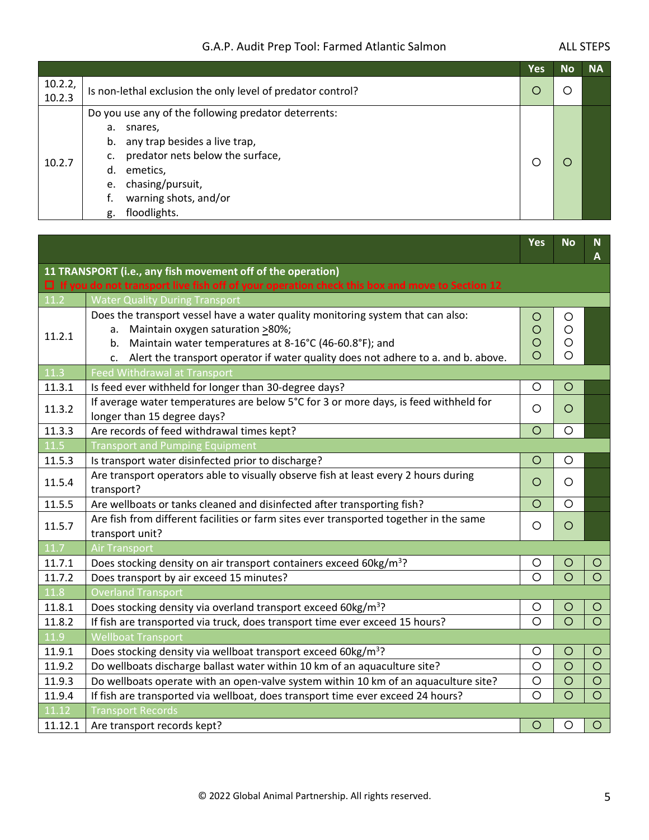#### G.A.P. Audit Prep Tool: Farmed Atlantic Salmon Manusculph ALL STEPS

|                   |                                                                                                                                                                                                                                                | <b>Yes</b> | <b>No</b> | <b>NA</b> |
|-------------------|------------------------------------------------------------------------------------------------------------------------------------------------------------------------------------------------------------------------------------------------|------------|-----------|-----------|
| 10.2.2,<br>10.2.3 | Is non-lethal exclusion the only level of predator control?                                                                                                                                                                                    |            |           |           |
| 10.2.7            | Do you use any of the following predator deterrents:<br>а.<br>snares,<br>any trap besides a live trap,<br>b.<br>predator nets below the surface,<br>c.<br>emetics,<br>d.<br>e. chasing/pursuit,<br>warning shots, and/or<br>floodlights.<br>g. |            |           |           |

|                   |                                                                                                           | Yes     | <b>No</b> | N.<br>А |
|-------------------|-----------------------------------------------------------------------------------------------------------|---------|-----------|---------|
|                   | 11 TRANSPORT (i.e., any fish movement off of the operation)                                               |         |           |         |
|                   | $\Box$ If you do not transport live fish off of your operation check this box and move to Section 12      |         |           |         |
| 11.2              | <b>Water Quality During Transport</b>                                                                     |         |           |         |
|                   | Does the transport vessel have a water quality monitoring system that can also:                           | O       | $\circ$   |         |
| 11.2.1            | Maintain oxygen saturation >80%;<br>a.                                                                    | $\circ$ | $\circ$   |         |
|                   | Maintain water temperatures at 8-16°C (46-60.8°F); and<br>b.                                              | $\circ$ | $\circ$   |         |
|                   | Alert the transport operator if water quality does not adhere to a. and b. above.<br>$\mathsf{C}$ .       | O       | $\circ$   |         |
| 11.3              | <b>Feed Withdrawal at Transport</b>                                                                       |         |           |         |
| 11.3.1            | Is feed ever withheld for longer than 30-degree days?                                                     | $\circ$ | $\circ$   |         |
| 11.3.2            | If average water temperatures are below 5°C for 3 or more days, is feed withheld for                      | O       | $\circ$   |         |
|                   | longer than 15 degree days?                                                                               |         |           |         |
| 11.3.3            | Are records of feed withdrawal times kept?                                                                | $\circ$ | $\circ$   |         |
| 11.5              | <b>Transport and Pumping Equipment</b>                                                                    |         |           |         |
| 11.5.3            | Is transport water disinfected prior to discharge?                                                        | $\circ$ | $\circ$   |         |
| 11.5.4            | Are transport operators able to visually observe fish at least every 2 hours during<br>transport?         | $\circ$ | $\circ$   |         |
| 11.5.5            | Are wellboats or tanks cleaned and disinfected after transporting fish?                                   | $\circ$ | $\circ$   |         |
| 11.5.7            | Are fish from different facilities or farm sites ever transported together in the same<br>transport unit? | $\circ$ | $\circ$   |         |
| $\overline{11.7}$ | <b>Air Transport</b>                                                                                      |         |           |         |
| 11.7.1            | Does stocking density on air transport containers exceed 60kg/m <sup>3</sup> ?                            | $\circ$ | $\circ$   | $\circ$ |
| 11.7.2            | Does transport by air exceed 15 minutes?                                                                  | $\circ$ | $\circ$   | $\circ$ |
| 11.8              | <b>Overland Transport</b>                                                                                 |         |           |         |
| 11.8.1            | Does stocking density via overland transport exceed 60kg/m <sup>3</sup> ?                                 | O       | $\circ$   | $\circ$ |
| 11.8.2            | If fish are transported via truck, does transport time ever exceed 15 hours?                              | $\circ$ | $\circ$   | $\circ$ |
| 11.9              | <b>Wellboat Transport</b>                                                                                 |         |           |         |
| 11.9.1            | Does stocking density via wellboat transport exceed 60kg/m <sup>3</sup> ?                                 | $\circ$ | $\circ$   | $\circ$ |
| 11.9.2            | Do wellboats discharge ballast water within 10 km of an aquaculture site?                                 | $\circ$ | $\circ$   | $\circ$ |
| 11.9.3            | Do wellboats operate with an open-valve system within 10 km of an aquaculture site?                       | $\circ$ | $\circ$   | $\circ$ |
| 11.9.4            | If fish are transported via wellboat, does transport time ever exceed 24 hours?                           | $\circ$ | $\circ$   | $\circ$ |
| 11.12             | <b>Transport Records</b>                                                                                  |         |           |         |
| 11.12.1           | Are transport records kept?                                                                               | $\circ$ | $\circ$   | $\circ$ |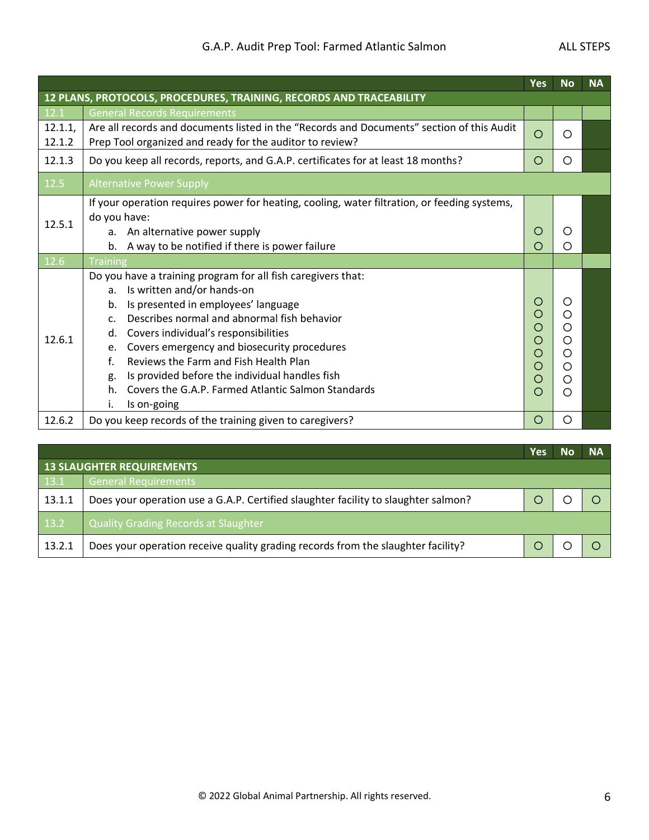#### G.A.P. Audit Prep Tool: Farmed Atlantic Salmon Manusculph ALL STEPS

|                   |                                                                                                                                                                                                                                                                                                                                                                                                                                                                                                                          | Yes                                  | <b>No</b>                                                 | <b>NA</b> |
|-------------------|--------------------------------------------------------------------------------------------------------------------------------------------------------------------------------------------------------------------------------------------------------------------------------------------------------------------------------------------------------------------------------------------------------------------------------------------------------------------------------------------------------------------------|--------------------------------------|-----------------------------------------------------------|-----------|
|                   | 12 PLANS, PROTOCOLS, PROCEDURES, TRAINING, RECORDS AND TRACEABILITY                                                                                                                                                                                                                                                                                                                                                                                                                                                      |                                      |                                                           |           |
| 12.1              | <b>General Records Requirements</b>                                                                                                                                                                                                                                                                                                                                                                                                                                                                                      |                                      |                                                           |           |
| 12.1.1,<br>12.1.2 | Are all records and documents listed in the "Records and Documents" section of this Audit<br>Prep Tool organized and ready for the auditor to review?                                                                                                                                                                                                                                                                                                                                                                    | O                                    | ∩                                                         |           |
| 12.1.3            | Do you keep all records, reports, and G.A.P. certificates for at least 18 months?                                                                                                                                                                                                                                                                                                                                                                                                                                        | O                                    | ∩                                                         |           |
| 12.5              | <b>Alternative Power Supply</b>                                                                                                                                                                                                                                                                                                                                                                                                                                                                                          |                                      |                                                           |           |
| 12.5.1            | If your operation requires power for heating, cooling, water filtration, or feeding systems,<br>do you have:<br>a. An alternative power supply<br>b. A way to be notified if there is power failure                                                                                                                                                                                                                                                                                                                      | Ω<br>( )                             | O                                                         |           |
| 12.6              | <b>Training</b>                                                                                                                                                                                                                                                                                                                                                                                                                                                                                                          |                                      |                                                           |           |
| 12.6.1            | Do you have a training program for all fish caregivers that:<br>Is written and/or hands-on<br>$a_{\cdot}$<br>Is presented in employees' language<br>b.<br>Describes normal and abnormal fish behavior<br>$C_{\cdot}$<br>Covers individual's responsibilities<br>d.<br>Covers emergency and biosecurity procedures<br>e.<br>Reviews the Farm and Fish Health Plan<br>$f_{\cdot}$<br>Is provided before the individual handles fish<br>g.<br>Covers the G.A.P. Farmed Atlantic Salmon Standards<br>h.<br>i.<br>Is on-going | O<br>O<br>O<br>O<br>Ο<br>O<br>O<br>∩ | $\left( \right)$<br>◯<br>O<br>O<br>◯<br>$\circ$<br>O<br>◯ |           |
| 12.6.2            | Do you keep records of the training given to caregivers?                                                                                                                                                                                                                                                                                                                                                                                                                                                                 | O                                    | O                                                         |           |

|        |                                                                                    | Yes | N٥ | <b>NA</b> |  |  |  |
|--------|------------------------------------------------------------------------------------|-----|----|-----------|--|--|--|
|        | <b>13 SLAUGHTER REQUIREMENTS</b>                                                   |     |    |           |  |  |  |
| 13.1   | General Requirements                                                               |     |    |           |  |  |  |
| 13.1.1 | Does your operation use a G.A.P. Certified slaughter facility to slaughter salmon? |     |    |           |  |  |  |
| 13.2   | <b>Quality Grading Records at Slaughter</b>                                        |     |    |           |  |  |  |
| 13.2.1 | Does your operation receive quality grading records from the slaughter facility?   |     |    |           |  |  |  |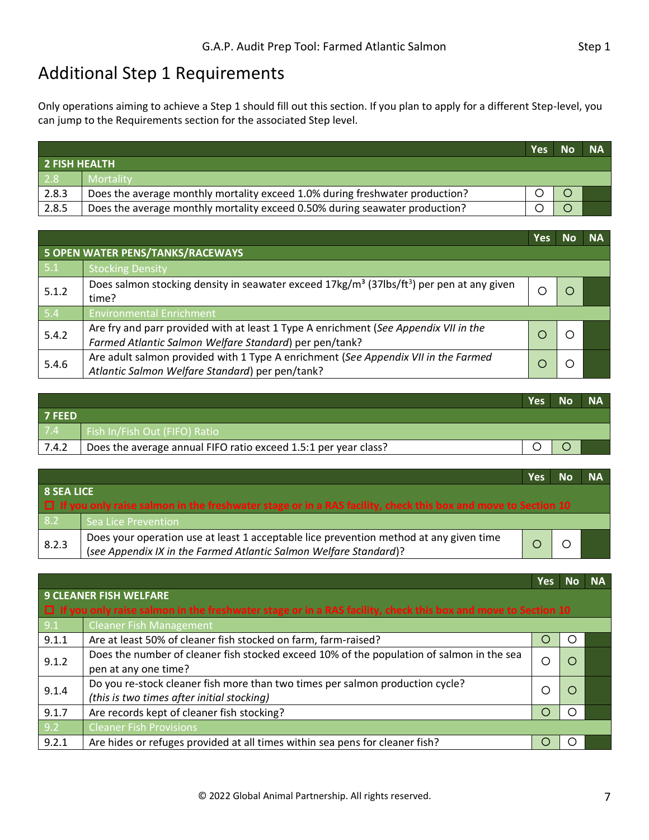### Additional Step 1 Requirements

Only operations aiming to achieve a Step 1 should fill out this section. If you plan to apply for a different Step-level, you can jump to the Requirements section for the associated Step level.

|                      |                                                                              | <b>Yes</b> | <b>No</b> | <b>NA</b> |
|----------------------|------------------------------------------------------------------------------|------------|-----------|-----------|
| <b>2 FISH HEALTH</b> |                                                                              |            |           |           |
| $\sqrt{2.8}$         | Mortality                                                                    |            |           |           |
| 2.8.3                | Does the average monthly mortality exceed 1.0% during freshwater production? |            |           |           |
| 2.8.5                | Does the average monthly mortality exceed 0.50% during seawater production?  |            |           |           |

|       |                                                                                                                                                | Yes |  | <b>NA</b> |  |  |  |  |  |
|-------|------------------------------------------------------------------------------------------------------------------------------------------------|-----|--|-----------|--|--|--|--|--|
|       | <b>5 OPEN WATER PENS/TANKS/RACEWAYS</b>                                                                                                        |     |  |           |  |  |  |  |  |
| 5.1   | <b>Stocking Density</b>                                                                                                                        |     |  |           |  |  |  |  |  |
| 5.1.2 | Does salmon stocking density in seawater exceed $17\text{kg/m}^3$ (37lbs/ft <sup>3</sup> ) per pen at any given<br>time?                       |     |  |           |  |  |  |  |  |
| 5.4   | <b>Environmental Enrichment</b>                                                                                                                |     |  |           |  |  |  |  |  |
| 5.4.2 | Are fry and parr provided with at least 1 Type A enrichment (See Appendix VII in the<br>Farmed Atlantic Salmon Welfare Standard) per pen/tank? |     |  |           |  |  |  |  |  |
| 5.4.6 | Are adult salmon provided with 1 Type A enrichment (See Appendix VII in the Farmed<br>Atlantic Salmon Welfare Standard) per pen/tank?          |     |  |           |  |  |  |  |  |

|               |                                                                 | <b>Yes</b> | <b>No</b> | <b>NA</b> |
|---------------|-----------------------------------------------------------------|------------|-----------|-----------|
| <b>7 FEED</b> |                                                                 |            |           |           |
| 7.4           | Fish In/Fish Out (FIFO) Ratio                                   |            |           |           |
| 7.4.2         | Does the average annual FIFO ratio exceed 1.5:1 per year class? |            |           |           |

|                   |                                                                                                                                                             | Yes | Nο | <b>NA</b> |  |
|-------------------|-------------------------------------------------------------------------------------------------------------------------------------------------------------|-----|----|-----------|--|
| <b>8 SEA LICE</b> |                                                                                                                                                             |     |    |           |  |
|                   | $\Box$ If you only raise salmon in the freshwater stage or in a RAS facility, check this box and move to Section 10                                         |     |    |           |  |
| 8.2               | Sea Lice Prevention                                                                                                                                         |     |    |           |  |
| 8.2.3             | Does your operation use at least 1 acceptable lice prevention method at any given time<br>(see Appendix IX in the Farmed Atlantic Salmon Welfare Standard)? |     |    |           |  |

|                                       |                                                                                                                     | <b>Yes</b> | <b>No</b>        | <b>NA</b> |
|---------------------------------------|---------------------------------------------------------------------------------------------------------------------|------------|------------------|-----------|
|                                       | <b>9 CLEANER FISH WELFARE</b>                                                                                       |            |                  |           |
|                                       | $\Box$ If you only raise salmon in the freshwater stage or in a RAS facility, check this box and move to Section 10 |            |                  |           |
| 9.1                                   | <b>Cleaner Fish Management</b>                                                                                      |            |                  |           |
| 9.1.1                                 | Are at least 50% of cleaner fish stocked on farm, farm-raised?                                                      | O          | ( )              |           |
| 9.1.2                                 | Does the number of cleaner fish stocked exceed 10% of the population of salmon in the sea                           | С          | $\Box$           |           |
|                                       | pen at any one time?                                                                                                |            |                  |           |
| 9.1.4                                 | Do you re-stock cleaner fish more than two times per salmon production cycle?                                       | □          | $\left( \right)$ |           |
|                                       | (this is two times after initial stocking)                                                                          |            |                  |           |
| 9.1.7                                 | Are records kept of cleaner fish stocking?                                                                          | Ω          | ו ז              |           |
| 9.2<br><b>Cleaner Fish Provisions</b> |                                                                                                                     |            |                  |           |
| 9.2.1                                 | Are hides or refuges provided at all times within sea pens for cleaner fish?                                        | ◯          | . .              |           |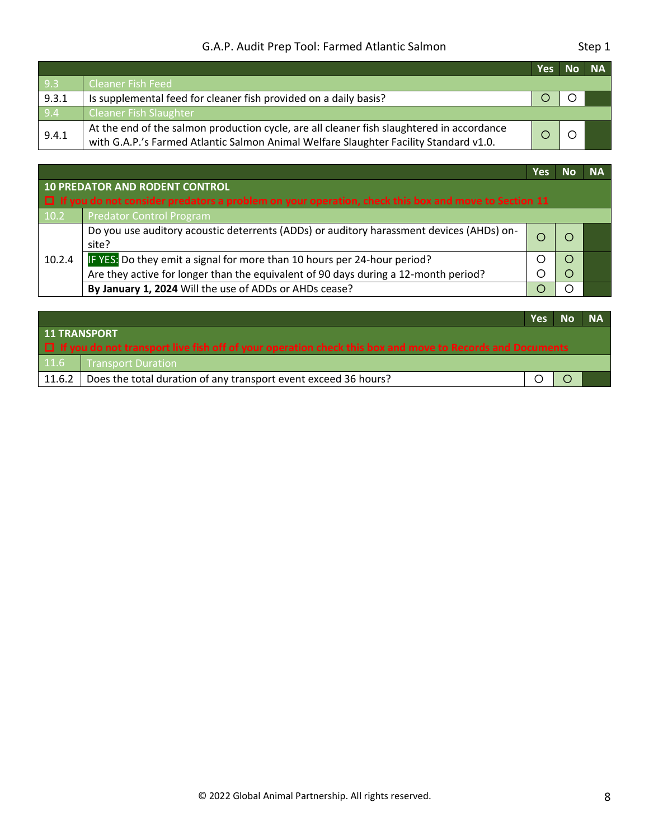#### G.A.P. Audit Prep Tool: Farmed Atlantic Salmon Step 1

|       |                                                                                                                                                                                    | <b>Yes</b> | No NA |  |
|-------|------------------------------------------------------------------------------------------------------------------------------------------------------------------------------------|------------|-------|--|
| 9.3   | Cleaner Fish Feed                                                                                                                                                                  |            |       |  |
| 9.3.1 | Is supplemental feed for cleaner fish provided on a daily basis?                                                                                                                   |            |       |  |
| 9.4   | <b>Cleaner Fish Slaughter</b>                                                                                                                                                      |            |       |  |
| 9.4.1 | At the end of the salmon production cycle, are all cleaner fish slaughtered in accordance<br>with G.A.P.'s Farmed Atlantic Salmon Animal Welfare Slaughter Facility Standard v1.0. |            |       |  |

**Yes No NA**

|        | <b>10 PREDATOR AND RODENT CONTROL</b><br>$\Box$ If you do not consider predators a problem on your operation, check this box and move to Section 11 |  |  |  |  |  |
|--------|-----------------------------------------------------------------------------------------------------------------------------------------------------|--|--|--|--|--|
| 10.2   | Predator Control Program                                                                                                                            |  |  |  |  |  |
|        | Do you use auditory acoustic deterrents (ADDs) or auditory harassment devices (AHDs) on-<br>site?                                                   |  |  |  |  |  |
| 10.2.4 | IF YES: Do they emit a signal for more than 10 hours per 24-hour period?                                                                            |  |  |  |  |  |
|        | Are they active for longer than the equivalent of 90 days during a 12-month period?                                                                 |  |  |  |  |  |
|        | By January 1, 2024 Will the use of ADDs or AHDs cease?                                                                                              |  |  |  |  |  |

|                                                                                                                 |                                                                 | Yes | <b>No</b> | <b>NA</b> |  |
|-----------------------------------------------------------------------------------------------------------------|-----------------------------------------------------------------|-----|-----------|-----------|--|
| <b>11 TRANSPORT</b>                                                                                             |                                                                 |     |           |           |  |
| $\Box$ If you do not transport live fish off of your operation check this box and move to Records and Documents |                                                                 |     |           |           |  |
| 11.6                                                                                                            | <b>Transport Duration</b>                                       |     |           |           |  |
| 11.6.2                                                                                                          | Does the total duration of any transport event exceed 36 hours? |     |           |           |  |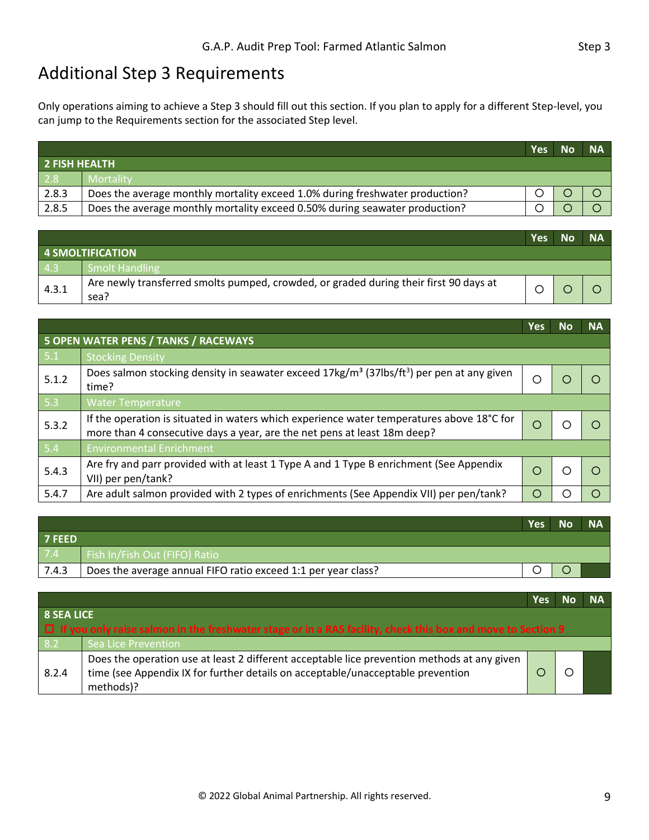### <span id="page-10-0"></span>Additional Step 3 Requirements

Only operations aiming to achieve a Step 3 should fill out this section. If you plan to apply for a different Step-level, you can jump to the Requirements section for the associated Step level.

|                      |                                                                              | <b>Yes</b> | Nο | <b>NA</b> |  |  |
|----------------------|------------------------------------------------------------------------------|------------|----|-----------|--|--|
| <b>2 FISH HEALTH</b> |                                                                              |            |    |           |  |  |
| 2.8                  | Mortality                                                                    |            |    |           |  |  |
| 2.8.3                | Does the average monthly mortality exceed 1.0% during freshwater production? |            |    |           |  |  |
| 2.8.5                | Does the average monthly mortality exceed 0.50% during seawater production?  |            |    |           |  |  |

|       |                                                                                               | <b>Yes</b> | <b>No</b> | <b>NA</b> |
|-------|-----------------------------------------------------------------------------------------------|------------|-----------|-----------|
|       | 4 SMOLTIFICATION                                                                              |            |           |           |
| 4.3   | Smolt Handling                                                                                |            |           |           |
| 4.3.1 | Are newly transferred smolts pumped, crowded, or graded during their first 90 days at<br>sea? |            |           |           |

|       |                                                                                                                                                                       | Yes | <b>No</b> | <b>NA</b>      |
|-------|-----------------------------------------------------------------------------------------------------------------------------------------------------------------------|-----|-----------|----------------|
|       | 5 OPEN WATER PENS / TANKS / RACEWAYS                                                                                                                                  |     |           |                |
| 5.1   | <b>Stocking Density</b>                                                                                                                                               |     |           |                |
| 5.1.2 | Does salmon stocking density in seawater exceed $17\text{kg/m}^3$ (37lbs/ft <sup>3</sup> ) per pen at any given<br>time?                                              | O   |           |                |
| 5.3   | <b>Water Temperature</b>                                                                                                                                              |     |           |                |
| 5.3.2 | If the operation is situated in waters which experience water temperatures above 18°C for<br>more than 4 consecutive days a year, are the net pens at least 18m deep? |     |           |                |
| 5.4   | <b>Environmental Enrichment</b>                                                                                                                                       |     |           |                |
| 5.4.3 | Are fry and parr provided with at least 1 Type A and 1 Type B enrichment (See Appendix<br>VII) per pen/tank?                                                          |     |           | $\blacksquare$ |
| 5.4.7 | Are adult salmon provided with 2 types of enrichments (See Appendix VII) per pen/tank?                                                                                | O   | C         | $\subset$      |

|               |                                                               | Yes | <b>No</b> | <b>NA</b> |
|---------------|---------------------------------------------------------------|-----|-----------|-----------|
| <b>7 FEED</b> |                                                               |     |           |           |
| 7.4           | Fish In/Fish Out (FIFO) Ratio                                 |     |           |           |
| 7.4.3         | Does the average annual FIFO ratio exceed 1:1 per year class? |     |           |           |

|                                                                                                                    |                                                                                                                                                                                             | Yes |  | <b>NA</b> |  |  |
|--------------------------------------------------------------------------------------------------------------------|---------------------------------------------------------------------------------------------------------------------------------------------------------------------------------------------|-----|--|-----------|--|--|
| <b>8 SEA LICE</b>                                                                                                  |                                                                                                                                                                                             |     |  |           |  |  |
| $\Box$ If you only raise salmon in the freshwater stage or in a RAS facility, check this box and move to Section 9 |                                                                                                                                                                                             |     |  |           |  |  |
| 8.2                                                                                                                | Sea Lice Prevention                                                                                                                                                                         |     |  |           |  |  |
| 8.2.4                                                                                                              | Does the operation use at least 2 different acceptable lice prevention methods at any given<br>time (see Appendix IX for further details on acceptable/unacceptable prevention<br>methods)? |     |  |           |  |  |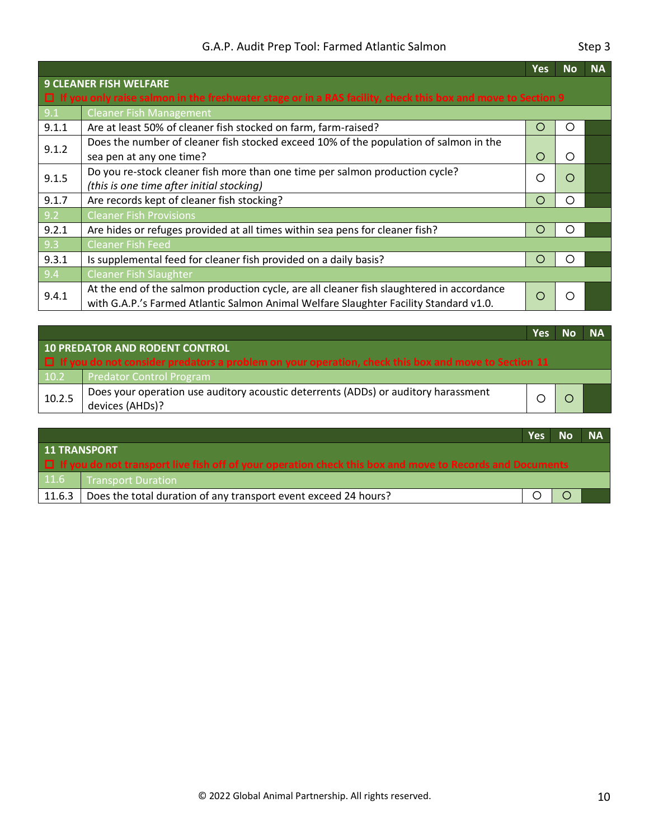|       |                                                                                                                    | <b>Yes</b> | <b>No</b> | <b>NA</b> |
|-------|--------------------------------------------------------------------------------------------------------------------|------------|-----------|-----------|
|       | <b>9 CLEANER FISH WELFARE</b>                                                                                      |            |           |           |
|       | $\Box$ If you only raise salmon in the freshwater stage or in a RAS facility, check this box and move to Section 9 |            |           |           |
| 9.1   | <b>Cleaner Fish Management</b>                                                                                     |            |           |           |
| 9.1.1 | Are at least 50% of cleaner fish stocked on farm, farm-raised?                                                     | O          | O         |           |
| 9.1.2 | Does the number of cleaner fish stocked exceed 10% of the population of salmon in the                              |            |           |           |
|       | sea pen at any one time?                                                                                           | O          | ◯         |           |
| 9.1.5 | Do you re-stock cleaner fish more than one time per salmon production cycle?                                       | ∩          | ◯         |           |
|       | (this is one time after initial stocking)                                                                          |            |           |           |
| 9.1.7 | Are records kept of cleaner fish stocking?                                                                         | O          | ◯         |           |
| 9.2   | <b>Cleaner Fish Provisions</b>                                                                                     |            |           |           |
| 9.2.1 | Are hides or refuges provided at all times within sea pens for cleaner fish?                                       | O          | O         |           |
| 9.3   | <b>Cleaner Fish Feed</b>                                                                                           |            |           |           |
| 9.3.1 | Is supplemental feed for cleaner fish provided on a daily basis?                                                   | O          | ∩         |           |
| 9.4   | <b>Cleaner Fish Slaughter</b>                                                                                      |            |           |           |
| 9.4.1 | At the end of the salmon production cycle, are all cleaner fish slaughtered in accordance                          |            |           |           |
|       | with G.A.P.'s Farmed Atlantic Salmon Animal Welfare Slaughter Facility Standard v1.0.                              | Ω          | ∩         |           |

|        |                                                                                                            | Yes |  | <b>NA</b> |  |  |  |
|--------|------------------------------------------------------------------------------------------------------------|-----|--|-----------|--|--|--|
|        | 10 PREDATOR AND RODENT CONTROL                                                                             |     |  |           |  |  |  |
|        | $\Box$ If you do not consider predators a problem on your operation, check this box and move to Section 11 |     |  |           |  |  |  |
| 10.2   | <b>Predator Control Program</b>                                                                            |     |  |           |  |  |  |
| 10.2.5 | Does your operation use auditory acoustic deterrents (ADDs) or auditory harassment<br>devices (AHDs)?      |     |  |           |  |  |  |
|        |                                                                                                            |     |  |           |  |  |  |

|                                                                                                                 |                                                                 | <b>Yes</b> | <b>No</b> | <b>NA</b> |  |
|-----------------------------------------------------------------------------------------------------------------|-----------------------------------------------------------------|------------|-----------|-----------|--|
| <b>11 TRANSPORT</b>                                                                                             |                                                                 |            |           |           |  |
| $\Box$ If you do not transport live fish off of your operation check this box and move to Records and Documents |                                                                 |            |           |           |  |
| 11.6                                                                                                            | <b>Transport Duration</b>                                       |            |           |           |  |
| 11.6.3                                                                                                          | Does the total duration of any transport event exceed 24 hours? |            |           |           |  |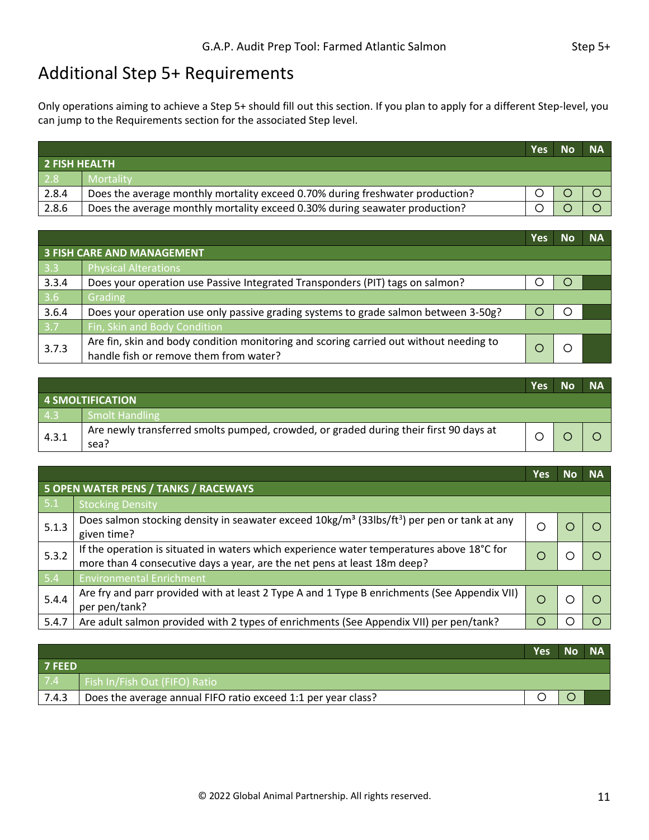### <span id="page-12-0"></span>Additional Step 5+ Requirements

Only operations aiming to achieve a Step 5+ should fill out this section. If you plan to apply for a different Step-level, you can jump to the Requirements section for the associated Step level.

|                      |                                                                               | <b>Yes</b> | N <sub>0</sub> | <b>NA</b> |
|----------------------|-------------------------------------------------------------------------------|------------|----------------|-----------|
| <b>2 FISH HEALTH</b> |                                                                               |            |                |           |
| 2.8                  | <b>Mortality</b>                                                              |            |                |           |
| 2.8.4                | Does the average monthly mortality exceed 0.70% during freshwater production? |            |                |           |
| 2.8.6                | Does the average monthly mortality exceed 0.30% during seawater production?   |            |                |           |

|                  |                                                                                        | <b>Yes</b> | Nο | <b>NA</b> |
|------------------|----------------------------------------------------------------------------------------|------------|----|-----------|
|                  | <b>3 FISH CARE AND MANAGEMENT</b>                                                      |            |    |           |
| $\vert$ 3.3      | <b>Physical Alterations</b>                                                            |            |    |           |
| 3.3.4            | Does your operation use Passive Integrated Transponders (PIT) tags on salmon?          |            |    |           |
| $3.6$            | Grading                                                                                |            |    |           |
| 3.6.4            | Does your operation use only passive grading systems to grade salmon between 3-50g?    |            |    |           |
| $\overline{3.7}$ | Fin, Skin and Body Condition                                                           |            |    |           |
| 3.7.3            | Are fin, skin and body condition monitoring and scoring carried out without needing to |            |    |           |
|                  | handle fish or remove them from water?                                                 |            |    |           |

|       |                                                                                               | Yes l | <b>No</b> | <b>NA</b> |
|-------|-----------------------------------------------------------------------------------------------|-------|-----------|-----------|
|       | 4 SMOLTIFICATION                                                                              |       |           |           |
| 4.3   | Smolt Handling                                                                                |       |           |           |
| 4.3.1 | Are newly transferred smolts pumped, crowded, or graded during their first 90 days at<br>sea? |       |           |           |

|       |                                                                                                                                                                       | Yes | <b>NA</b> |
|-------|-----------------------------------------------------------------------------------------------------------------------------------------------------------------------|-----|-----------|
|       | 5 OPEN WATER PENS / TANKS / RACEWAYS                                                                                                                                  |     |           |
| 5.1   | <b>Stocking Density</b>                                                                                                                                               |     |           |
| 5.1.3 | Does salmon stocking density in seawater exceed $10\text{kg/m}^3$ (33lbs/ft <sup>3</sup> ) per pen or tank at any<br>given time?                                      | Ω   |           |
| 5.3.2 | If the operation is situated in waters which experience water temperatures above 18°C for<br>more than 4 consecutive days a year, are the net pens at least 18m deep? | ∩   |           |
| 5.4   | <b>Environmental Enrichment</b>                                                                                                                                       |     |           |
| 5.4.4 | Are fry and parr provided with at least 2 Type A and 1 Type B enrichments (See Appendix VII)<br>per pen/tank?                                                         | O   |           |
| 5.4.7 | Are adult salmon provided with 2 types of enrichments (See Appendix VII) per pen/tank?                                                                                | Ω   |           |

|               |                                                               | <b>Yes</b> | No NA |
|---------------|---------------------------------------------------------------|------------|-------|
| <b>7 FEED</b> |                                                               |            |       |
| 7.4           | Fish In/Fish Out (FIFO) Ratio                                 |            |       |
| 7.4.3         | Does the average annual FIFO ratio exceed 1:1 per year class? |            |       |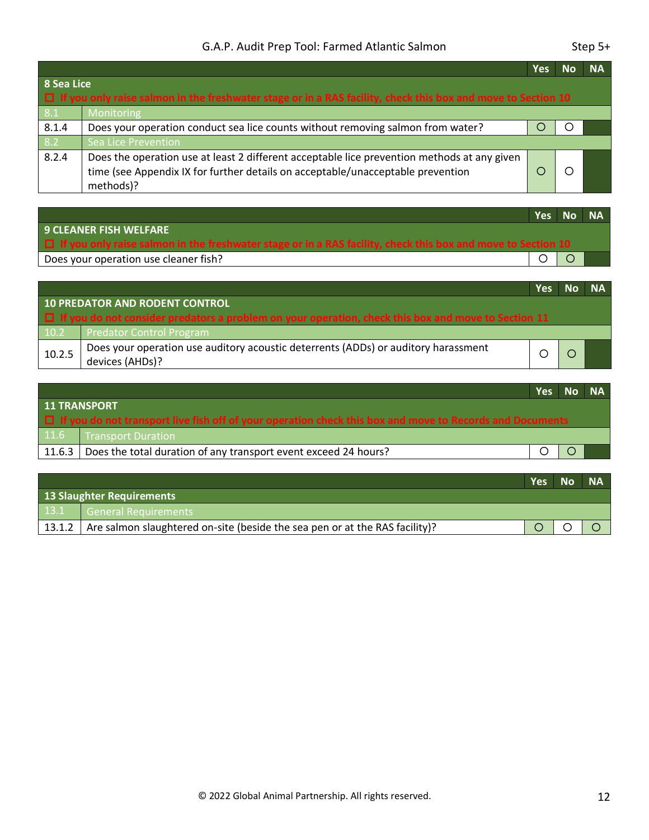|                                                                                                                              |                                                                                                                                                                                             | Yes | <b>NA</b> |
|------------------------------------------------------------------------------------------------------------------------------|---------------------------------------------------------------------------------------------------------------------------------------------------------------------------------------------|-----|-----------|
| 8 Sea Lice<br>□ If you only raise salmon in the freshwater stage or in a RAS facility, check this box and move to Section 10 |                                                                                                                                                                                             |     |           |
| 8.1                                                                                                                          | Monitoring                                                                                                                                                                                  |     |           |
| 8.1.4                                                                                                                        | Does your operation conduct sea lice counts without removing salmon from water?                                                                                                             |     |           |
| 8.2                                                                                                                          | Sea Lice Prevention                                                                                                                                                                         |     |           |
| 8.2.4                                                                                                                        | Does the operation use at least 2 different acceptable lice prevention methods at any given<br>time (see Appendix IX for further details on acceptable/unacceptable prevention<br>methods)? |     |           |

|                                                                                                                     |  |  | Yes No NA |  |  |  |
|---------------------------------------------------------------------------------------------------------------------|--|--|-----------|--|--|--|
| 9 CLEANER FISH WELFARE                                                                                              |  |  |           |  |  |  |
| $\Box$ If you only raise salmon in the freshwater stage or in a RAS facility, check this box and move to Section 10 |  |  |           |  |  |  |
| Does your operation use cleaner fish?                                                                               |  |  |           |  |  |  |

|                                                                                                            |                                                                                                       | <b>Yes</b> | No NA |  |
|------------------------------------------------------------------------------------------------------------|-------------------------------------------------------------------------------------------------------|------------|-------|--|
| 10 PREDATOR AND RODENT CONTROL                                                                             |                                                                                                       |            |       |  |
| $\Box$ If you do not consider predators a problem on your operation, check this box and move to Section 11 |                                                                                                       |            |       |  |
| 10.2                                                                                                       | Predator Control Program                                                                              |            |       |  |
| 10.2.5                                                                                                     | Does your operation use auditory acoustic deterrents (ADDs) or auditory harassment<br>devices (AHDs)? |            |       |  |

|                     |                                                                                                                 | Yes No NA |  |  |  |
|---------------------|-----------------------------------------------------------------------------------------------------------------|-----------|--|--|--|
| <b>11 TRANSPORT</b> |                                                                                                                 |           |  |  |  |
|                     | $\Box$ If you do not transport live fish off of your operation check this box and move to Records and Documents |           |  |  |  |
| 11.6                | Transport Duration                                                                                              |           |  |  |  |
| 11.6.3              | Does the total duration of any transport event exceed 24 hours?                                                 |           |  |  |  |
|                     |                                                                                                                 |           |  |  |  |

|                                  |                                                                                      | <b>Yes</b> | <b>No</b> | <b>NA</b> |
|----------------------------------|--------------------------------------------------------------------------------------|------------|-----------|-----------|
| <b>13 Slaughter Requirements</b> |                                                                                      |            |           |           |
|                                  | 13.1 General Requirements                                                            |            |           |           |
|                                  | $13.1.2$ Are salmon slaughtered on-site (beside the sea pen or at the RAS facility)? |            |           |           |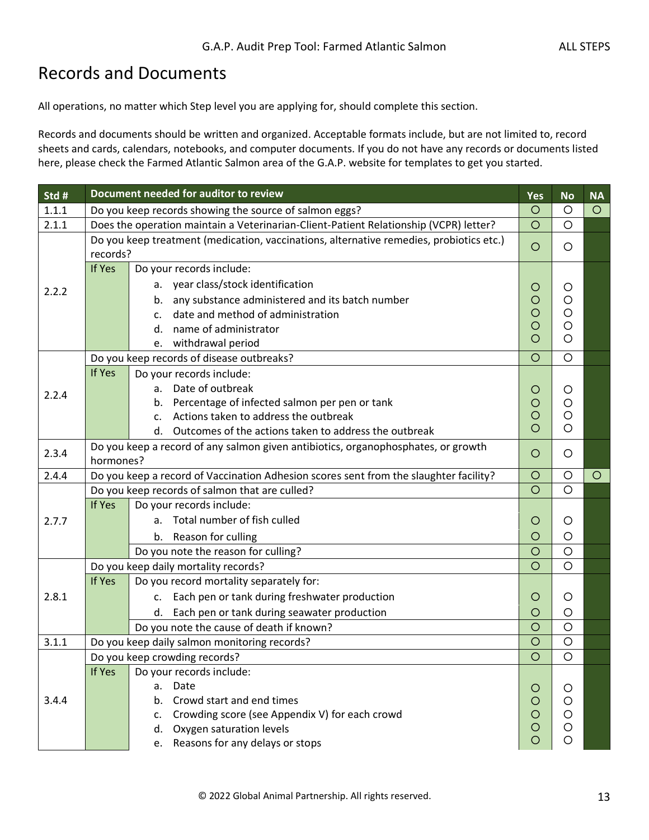### <span id="page-14-0"></span>Records and Documents

All operations, no matter which Step level you are applying for, should complete this section.

Records and documents should be written and organized. Acceptable formats include, but are not limited to, record sheets and cards, calendars, notebooks, and computer documents. If you do not have any records or documents listed here, please check the Farmed Atlantic Salmon area of the G.A.P. website for templates to get you started.

| Std # | Document needed for auditor to review                                                   | Yes                | <b>No</b>          | <b>NA</b> |
|-------|-----------------------------------------------------------------------------------------|--------------------|--------------------|-----------|
| 1.1.1 | Do you keep records showing the source of salmon eggs?                                  | $\circ$            | O                  | $\circ$   |
| 2.1.1 | Does the operation maintain a Veterinarian-Client-Patient Relationship (VCPR) letter?   | $\circ$            | $\circ$            |           |
|       | Do you keep treatment (medication, vaccinations, alternative remedies, probiotics etc.) | $\circ$            | O                  |           |
|       | records?                                                                                |                    |                    |           |
|       | If Yes<br>Do your records include:                                                      |                    |                    |           |
| 2.2.2 | a. year class/stock identification                                                      | Ő                  | O                  |           |
|       | any substance administered and its batch number<br>b.                                   | $\circ$<br>$\circ$ | $\circ$<br>$\circ$ |           |
|       | date and method of administration<br>$\mathsf{C}$ .                                     | $\circ$            | $\circ$            |           |
|       | name of administrator<br>d.                                                             | O                  | $\circ$            |           |
|       | withdrawal period<br>e.<br>Do you keep records of disease outbreaks?                    | $\circ$            | $\circ$            |           |
|       | If Yes                                                                                  |                    |                    |           |
|       | Do your records include:<br>Date of outbreak                                            |                    |                    |           |
| 2.2.4 | a.<br>Percentage of infected salmon per pen or tank<br>b.                               | O<br>O             | $\circ$<br>$\circ$ |           |
|       | Actions taken to address the outbreak<br>$\mathsf{C}$ .                                 | O                  | $\circ$            |           |
|       | d. Outcomes of the actions taken to address the outbreak                                | Ω                  | $\circ$            |           |
|       | Do you keep a record of any salmon given antibiotics, organophosphates, or growth       |                    |                    |           |
| 2.3.4 | hormones?                                                                               | $\circ$            | $\circ$            |           |
| 2.4.4 | Do you keep a record of Vaccination Adhesion scores sent from the slaughter facility?   | $\circ$            | $\circ$            | $\circ$   |
|       | Do you keep records of salmon that are culled?                                          | $\circ$            | $\circ$            |           |
|       | If Yes<br>Do your records include:                                                      |                    |                    |           |
| 2.7.7 | a. Total number of fish culled                                                          | O                  | O                  |           |
|       | b. Reason for culling                                                                   | O                  | $\circ$            |           |
|       | Do you note the reason for culling?                                                     | $\circ$            | $\circ$            |           |
|       | Do you keep daily mortality records?                                                    | $\circ$            | $\circ$            |           |
|       | If Yes<br>Do you record mortality separately for:                                       |                    |                    |           |
| 2.8.1 | c. Each pen or tank during freshwater production                                        | O                  | O                  |           |
|       | d. Each pen or tank during seawater production                                          | O                  | $\circ$            |           |
|       | Do you note the cause of death if known?                                                | O                  | $\circ$            |           |
| 3.1.1 | Do you keep daily salmon monitoring records?                                            | $\circ$            | $\circ$            |           |
|       | Do you keep crowding records?                                                           | $\circ$            | $\circ$            |           |
|       | If Yes<br>Do your records include:                                                      |                    |                    |           |
|       | Date<br>а.                                                                              | O                  | O                  |           |
| 3.4.4 | Crowd start and end times<br>b.                                                         | O                  | $\circ$            |           |
|       | Crowding score (see Appendix V) for each crowd<br>c.                                    | O                  | O                  |           |
|       | Oxygen saturation levels<br>d.                                                          | O<br>O             | O<br>O             |           |
|       | e. Reasons for any delays or stops                                                      |                    |                    |           |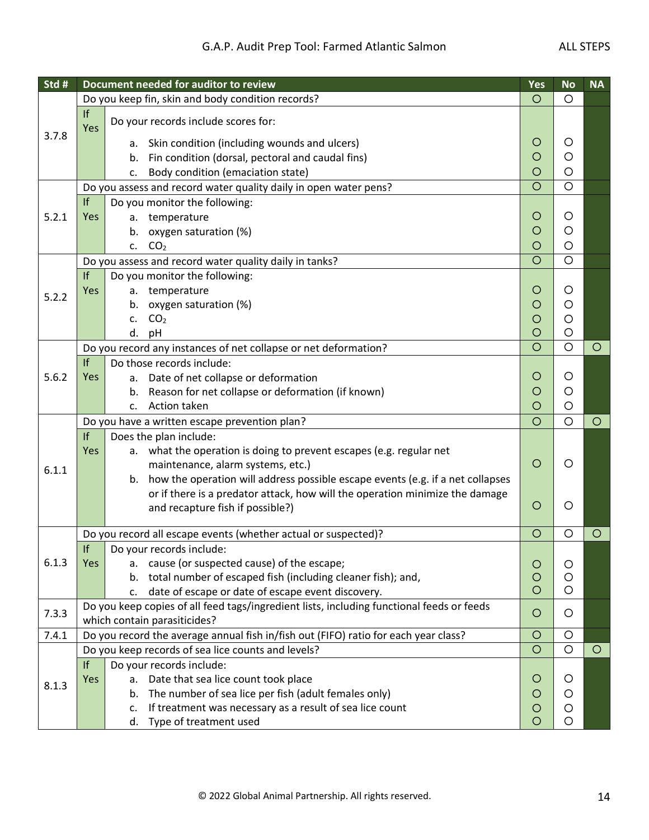| Std # |            | Document needed for auditor to review                                                                                     | Yes     | <b>No</b> | <b>NA</b> |
|-------|------------|---------------------------------------------------------------------------------------------------------------------------|---------|-----------|-----------|
|       |            | Do you keep fin, skin and body condition records?                                                                         | $\circ$ | $\circ$   |           |
|       | If<br>Yes  | Do your records include scores for:                                                                                       |         |           |           |
| 3.7.8 |            | Skin condition (including wounds and ulcers)<br>а.                                                                        | O       | O         |           |
|       |            | Fin condition (dorsal, pectoral and caudal fins)<br>b.                                                                    | O       | $\circ$   |           |
|       |            | Body condition (emaciation state)<br>c.                                                                                   | O       | $\circ$   |           |
|       |            | Do you assess and record water quality daily in open water pens?                                                          | $\circ$ | $\circ$   |           |
|       | If         | Do you monitor the following:                                                                                             |         |           |           |
| 5.2.1 | Yes        | temperature<br>а.                                                                                                         | O       | O         |           |
|       |            | oxygen saturation (%)<br>b.                                                                                               | O       | O         |           |
|       |            | CO <sub>2</sub><br>c.                                                                                                     | O       | $\circ$   |           |
|       |            | Do you assess and record water quality daily in tanks?                                                                    | $\circ$ | $\circ$   |           |
|       | If         | Do you monitor the following:                                                                                             |         |           |           |
| 5.2.2 | <b>Yes</b> | a. temperature                                                                                                            | O       | O         |           |
|       |            | oxygen saturation (%)<br>b.                                                                                               | O       | O         |           |
|       |            | CO <sub>2</sub><br>$\mathsf{C}$ .                                                                                         | O       | O         |           |
|       |            | d.<br>pH                                                                                                                  | O       | $\circ$   |           |
|       |            | Do you record any instances of net collapse or net deformation?                                                           | $\circ$ | $\circ$   | $\circ$   |
|       | f          | Do those records include:                                                                                                 |         |           |           |
| 5.6.2 | <b>Yes</b> | a. Date of net collapse or deformation                                                                                    | O       | O         |           |
|       |            | b. Reason for net collapse or deformation (if known)                                                                      | O       | O         |           |
|       |            | Action taken<br>c.                                                                                                        | O       | $\circ$   |           |
|       |            | Do you have a written escape prevention plan?                                                                             | $\circ$ | $\circ$   | $\circ$   |
|       | If         | Does the plan include:                                                                                                    |         |           |           |
|       | Yes        | a. what the operation is doing to prevent escapes (e.g. regular net                                                       | $\circ$ | O         |           |
| 6.1.1 |            | maintenance, alarm systems, etc.)<br>how the operation will address possible escape events (e.g. if a net collapses<br>b. |         |           |           |
|       |            | or if there is a predator attack, how will the operation minimize the damage                                              |         |           |           |
|       |            | and recapture fish if possible?)                                                                                          | O       | O         |           |
|       |            |                                                                                                                           |         |           |           |
|       |            | Do you record all escape events (whether actual or suspected)?                                                            | $\circ$ | $\circ$   | O         |
|       | f          | Do your records include:                                                                                                  |         |           |           |
| 6.1.3 | Yes        | a. cause (or suspected cause) of the escape;                                                                              | $\circ$ | O         |           |
|       |            | b. total number of escaped fish (including cleaner fish); and,                                                            | O       | O         |           |
|       |            | date of escape or date of escape event discovery.<br>c.                                                                   | $\circ$ | O         |           |
| 7.3.3 |            | Do you keep copies of all feed tags/ingredient lists, including functional feeds or feeds                                 | $\circ$ | O         |           |
|       |            | which contain parasiticides?                                                                                              |         |           |           |
| 7.4.1 |            | Do you record the average annual fish in/fish out (FIFO) ratio for each year class?                                       | O       | O         |           |
|       |            | Do you keep records of sea lice counts and levels?                                                                        | $\circ$ | $\circ$   | $\circ$   |
|       | If         | Do your records include:                                                                                                  |         |           |           |
| 8.1.3 | Yes        | Date that sea lice count took place<br>а.                                                                                 | O       | O         |           |
|       |            | b. The number of sea lice per fish (adult females only)                                                                   | O       | O         |           |
|       |            | If treatment was necessary as a result of sea lice count<br>c.                                                            | O       | O         |           |
|       |            | d. Type of treatment used                                                                                                 | O       | O         |           |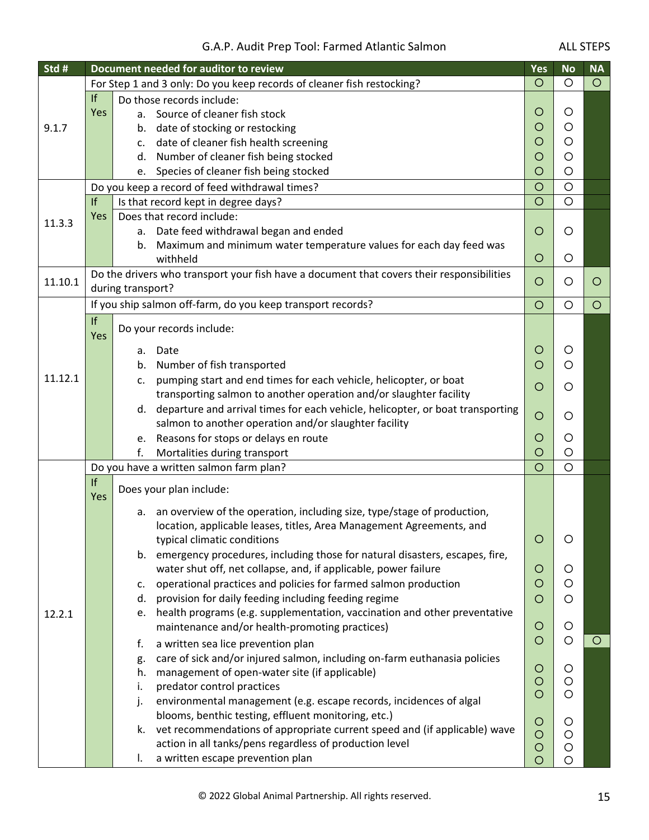| Std #   |           | Document needed for auditor to review                                                     | <b>Yes</b>         | <b>No</b> | <b>NA</b> |
|---------|-----------|-------------------------------------------------------------------------------------------|--------------------|-----------|-----------|
|         |           | For Step 1 and 3 only: Do you keep records of cleaner fish restocking?                    | $\circ$            | $\circ$   | $\circ$   |
| 9.1.7   | If        | Do those records include:                                                                 |                    |           |           |
|         | Yes       | a. Source of cleaner fish stock                                                           | O                  | O         |           |
|         |           | b. date of stocking or restocking                                                         | O                  | O         |           |
|         |           | date of cleaner fish health screening<br>c.                                               | O                  | $\circ$   |           |
|         |           | Number of cleaner fish being stocked<br>d.                                                | $\circ$            | O         |           |
|         |           | Species of cleaner fish being stocked<br>e.                                               | $\circ$            | $\circ$   |           |
|         |           | Do you keep a record of feed withdrawal times?                                            | $\circ$            | $\circ$   |           |
|         | If        | Is that record kept in degree days?                                                       | $\circ$            | $\circ$   |           |
| 11.3.3  | Yes       | Does that record include:                                                                 |                    |           |           |
|         |           | a. Date feed withdrawal began and ended                                                   | O                  | O         |           |
|         |           | Maximum and minimum water temperature values for each day feed was<br>b.                  |                    |           |           |
|         |           | withheld                                                                                  | O                  | O         |           |
| 11.10.1 |           | Do the drivers who transport your fish have a document that covers their responsibilities | O                  | O         | O         |
|         |           | during transport?                                                                         |                    |           |           |
|         |           | If you ship salmon off-farm, do you keep transport records?                               | $\circ$            | O         | $\circ$   |
|         | If        | Do your records include:                                                                  |                    |           |           |
|         | Yes       |                                                                                           |                    |           |           |
|         |           | Date<br>а.                                                                                | O                  | O         |           |
|         |           | Number of fish transported<br>b.                                                          | $\circ$            | $\circ$   |           |
| 11.12.1 |           | pumping start and end times for each vehicle, helicopter, or boat<br>c.                   | $\circ$            | O         |           |
|         |           | transporting salmon to another operation and/or slaughter facility                        |                    |           |           |
|         |           | d. departure and arrival times for each vehicle, helicopter, or boat transporting         | O                  | O         |           |
|         |           | salmon to another operation and/or slaughter facility                                     |                    |           |           |
|         |           | Reasons for stops or delays en route<br>e.                                                | O                  | O         |           |
|         |           | Mortalities during transport<br>f.                                                        | $\circ$            | $\circ$   |           |
|         |           | Do you have a written salmon farm plan?                                                   | $\circ$            | $\circ$   |           |
|         | If<br>Yes | Does your plan include:                                                                   |                    |           |           |
|         |           | an overview of the operation, including size, type/stage of production,<br>а.             |                    |           |           |
|         |           | location, applicable leases, titles, Area Management Agreements, and                      |                    |           |           |
|         |           | typical climatic conditions                                                               | $\circ$            | O         |           |
|         |           | b. emergency procedures, including those for natural disasters, escapes, fire,            |                    |           |           |
|         |           | water shut off, net collapse, and, if applicable, power failure                           | $\circ$            | O         |           |
|         |           | operational practices and policies for farmed salmon production<br>c.                     | O                  | O         |           |
|         |           | provision for daily feeding including feeding regime<br>d.                                | O                  | O         |           |
| 12.2.1  |           | health programs (e.g. supplementation, vaccination and other preventative<br>e.           |                    |           |           |
|         |           | maintenance and/or health-promoting practices)                                            | $\circ$            | O         |           |
|         |           | a written sea lice prevention plan<br>f.                                                  | $\circ$            | $\circ$   | O         |
|         |           | care of sick and/or injured salmon, including on-farm euthanasia policies<br>g.           |                    |           |           |
|         |           | management of open-water site (if applicable)<br>h.                                       | $\circ$            | O         |           |
|         |           | predator control practices<br>i.                                                          | $\circ$            | $\circ$   |           |
|         |           | environmental management (e.g. escape records, incidences of algal<br>j.                  | $\circ$            | O         |           |
|         |           | blooms, benthic testing, effluent monitoring, etc.)                                       |                    |           |           |
|         |           | vet recommendations of appropriate current speed and (if applicable) wave<br>k.           | $\circ$<br>$\circ$ | O<br>O    |           |
|         |           | action in all tanks/pens regardless of production level                                   | $\circ$            | O         |           |
|         |           | a written escape prevention plan<br>I.                                                    | $\circ$            | O         |           |